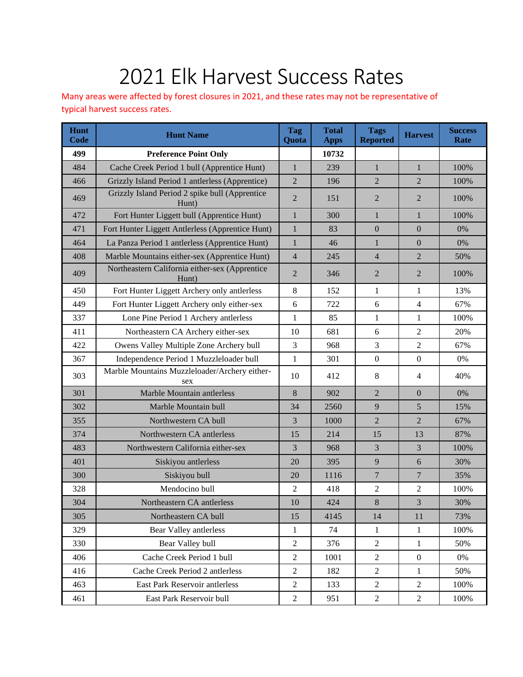## 2021 Elk Harvest Success Rates

Many areas were affected by forest closures in 2021, and these rates may not be representative of typical harvest success rates.

| Hunt<br><b>Code</b> | <b>Hunt Name</b>                                        | <b>Tag</b><br>Quota | <b>Total</b><br><b>Apps</b> | <b>Tags</b><br><b>Reported</b> | <b>Harvest</b>   | <b>Success</b><br>Rate |
|---------------------|---------------------------------------------------------|---------------------|-----------------------------|--------------------------------|------------------|------------------------|
| 499                 | <b>Preference Point Only</b>                            |                     | 10732                       |                                |                  |                        |
| 484                 | Cache Creek Period 1 bull (Apprentice Hunt)             | $\mathbf{1}$        | 239                         | $\mathbf{1}$                   | $\mathbf{1}$     | 100%                   |
| 466                 | Grizzly Island Period 1 antlerless (Apprentice)         | $\overline{2}$      | 196                         | $\overline{2}$                 | $\overline{2}$   | 100%                   |
| 469                 | Grizzly Island Period 2 spike bull (Apprentice<br>Hunt) | $\overline{2}$      | 151                         | $\overline{2}$                 | $\overline{2}$   | 100%                   |
| 472                 | Fort Hunter Liggett bull (Apprentice Hunt)              | $\mathbf{1}$        | 300                         | $\mathbf{1}$                   | $\mathbf{1}$     | 100%                   |
| 471                 | Fort Hunter Liggett Antlerless (Apprentice Hunt)        | $\mathbf{1}$        | 83                          | $\boldsymbol{0}$               | $\mathbf{0}$     | 0%                     |
| 464                 | La Panza Period 1 antlerless (Apprentice Hunt)          | $\mathbf{1}$        | 46                          | $\mathbf{1}$                   | $\mathbf{0}$     | 0%                     |
| 408                 | Marble Mountains either-sex (Apprentice Hunt)           | $\overline{4}$      | 245                         | $\overline{4}$                 | $\overline{2}$   | 50%                    |
| 409                 | Northeastern California either-sex (Apprentice<br>Hunt) | $\overline{2}$      | 346                         | $\overline{2}$                 | $\overline{2}$   | 100%                   |
| 450                 | Fort Hunter Liggett Archery only antlerless             | 8                   | 152                         | $\mathbf{1}$                   | $\mathbf{1}$     | 13%                    |
| 449                 | Fort Hunter Liggett Archery only either-sex             | 6                   | 722                         | 6                              | $\overline{4}$   | 67%                    |
| 337                 | Lone Pine Period 1 Archery antlerless                   | $\mathbf{1}$        | 85                          | $\mathbf{1}$                   | $\mathbf{1}$     | 100%                   |
| 411                 | Northeastern CA Archery either-sex                      | 10                  | 681                         | 6                              | 2                | 20%                    |
| 422                 | Owens Valley Multiple Zone Archery bull                 | 3                   | 968                         | 3                              | $\overline{2}$   | 67%                    |
| 367                 | Independence Period 1 Muzzleloader bull                 | $\mathbf{1}$        | 301                         | $\mathbf{0}$                   | $\boldsymbol{0}$ | 0%                     |
| 303                 | Marble Mountains Muzzleloader/Archery either-<br>sex    | 10                  | 412                         | $\,8\,$                        | 4                | 40%                    |
| 301                 | Marble Mountain antlerless                              | 8                   | 902                         | $\overline{2}$                 | $\mathbf{0}$     | 0%                     |
| 302                 | Marble Mountain bull                                    | 34                  | 2560                        | 9                              | 5                | 15%                    |
| 355                 | Northwestern CA bull                                    | 3                   | 1000                        | $\overline{2}$                 | $\overline{2}$   | 67%                    |
| 374                 | Northwestern CA antlerless                              | 15                  | 214                         | 15                             | 13               | 87%                    |
| 483                 | Northwestern California either-sex                      | 3                   | 968                         | 3                              | 3                | 100%                   |
| 401                 | Siskiyou antlerless                                     | 20                  | 395                         | 9                              | 6                | 30%                    |
| 300                 | Siskiyou bull                                           | 20                  | 1116                        | $\overline{7}$                 | $\overline{7}$   | 35%                    |
| 328                 | Mendocino bull                                          | $\overline{c}$      | 418                         | $\sqrt{2}$                     | $\overline{c}$   | 100%                   |
| 304                 | Northeastern CA antlerless                              | 10                  | 424                         | 8                              | 3                | 30%                    |
| 305                 | Northeastern CA bull                                    | 15                  | 4145                        | 14                             | 11               | 73%                    |
| 329                 | Bear Valley antlerless                                  | 1                   | 74                          | $\mathbf{1}$                   | $\mathbf{1}$     | 100%                   |
| 330                 | Bear Valley bull                                        | $\overline{2}$      | 376                         | $\sqrt{2}$                     | $\mathbf{1}$     | 50%                    |
| 406                 | Cache Creek Period 1 bull                               | $\overline{2}$      | 1001                        | $\overline{2}$                 | $\boldsymbol{0}$ | 0%                     |
| 416                 | Cache Creek Period 2 antlerless                         | $\boldsymbol{2}$    | 182                         | $\sqrt{2}$                     | $\mathbf{1}$     | 50%                    |
| 463                 | East Park Reservoir antlerless                          | $\boldsymbol{2}$    | 133                         | $\sqrt{2}$                     | $\overline{c}$   | 100%                   |
| 461                 | East Park Reservoir bull                                | $\boldsymbol{2}$    | 951                         | $\sqrt{2}$                     | $\sqrt{2}$       | 100%                   |